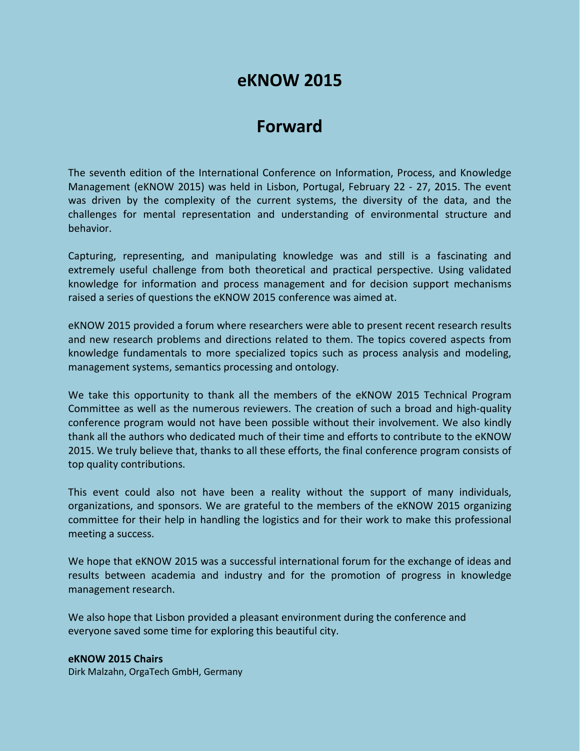## **eKNOW 2015**

## **Forward**

The seventh edition of the International Conference on Information, Process, and Knowledge Management (eKNOW 2015) was held in Lisbon, Portugal, February 22 - 27, 2015. The event was driven by the complexity of the current systems, the diversity of the data, and the challenges for mental representation and understanding of environmental structure and behavior.

Capturing, representing, and manipulating knowledge was and still is a fascinating and extremely useful challenge from both theoretical and practical perspective. Using validated knowledge for information and process management and for decision support mechanisms raised a series of questions the eKNOW 2015 conference was aimed at.

eKNOW 2015 provided a forum where researchers were able to present recent research results and new research problems and directions related to them. The topics covered aspects from knowledge fundamentals to more specialized topics such as process analysis and modeling, management systems, semantics processing and ontology.

We take this opportunity to thank all the members of the eKNOW 2015 Technical Program Committee as well as the numerous reviewers. The creation of such a broad and high-quality conference program would not have been possible without their involvement. We also kindly thank all the authors who dedicated much of their time and efforts to contribute to the eKNOW 2015. We truly believe that, thanks to all these efforts, the final conference program consists of top quality contributions.

This event could also not have been a reality without the support of many individuals, organizations, and sponsors. We are grateful to the members of the eKNOW 2015 organizing committee for their help in handling the logistics and for their work to make this professional meeting a success.

We hope that eKNOW 2015 was a successful international forum for the exchange of ideas and results between academia and industry and for the promotion of progress in knowledge management research.

We also hope that Lisbon provided a pleasant environment during the conference and everyone saved some time for exploring this beautiful city.

**eKNOW 2015 Chairs** Dirk Malzahn, OrgaTech GmbH, Germany